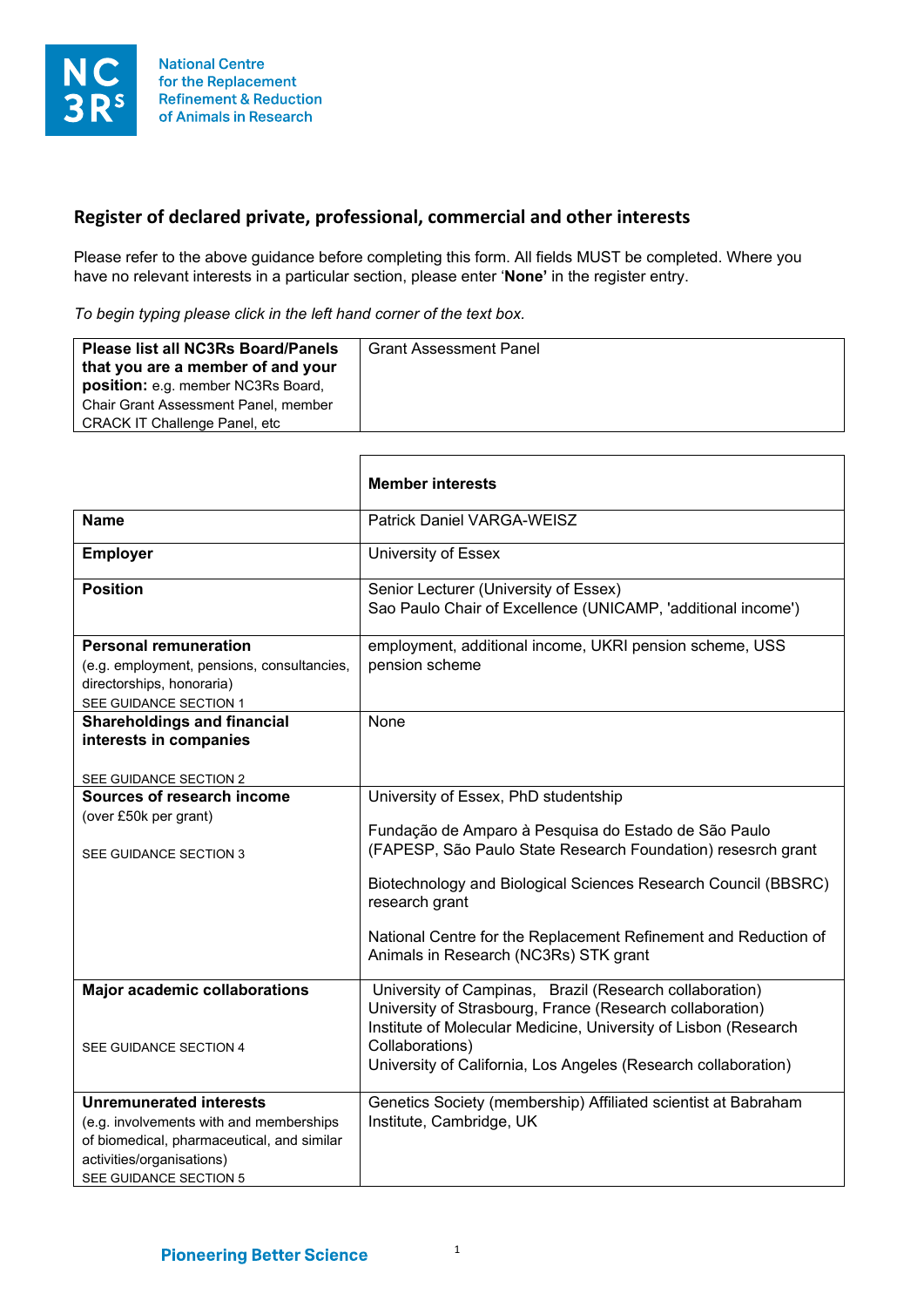

## **Register of declared private, professional, commercial and other interests**

Please refer to the above guidance before completing this form. All fields MUST be completed. Where you have no relevant interests in a particular section, please enter '**None'** in the register entry.

*To begin typing please click in the left hand corner of the text box.*

| <b>Please list all NC3Rs Board/Panels</b><br>that you are a member of and your<br>position: e.g. member NC3Rs Board,<br><b>Chair Grant Assessment Panel, member</b><br><b>CRACK IT Challenge Panel, etc</b> | <b>Grant Assessment Panel</b> |
|-------------------------------------------------------------------------------------------------------------------------------------------------------------------------------------------------------------|-------------------------------|
|-------------------------------------------------------------------------------------------------------------------------------------------------------------------------------------------------------------|-------------------------------|

|                                                                                                                                                                                | <b>Member interests</b>                                                                                                                                                                                                                                                                                                                                      |
|--------------------------------------------------------------------------------------------------------------------------------------------------------------------------------|--------------------------------------------------------------------------------------------------------------------------------------------------------------------------------------------------------------------------------------------------------------------------------------------------------------------------------------------------------------|
| <b>Name</b>                                                                                                                                                                    | Patrick Daniel VARGA-WEISZ                                                                                                                                                                                                                                                                                                                                   |
| <b>Employer</b>                                                                                                                                                                | University of Essex                                                                                                                                                                                                                                                                                                                                          |
| <b>Position</b>                                                                                                                                                                | Senior Lecturer (University of Essex)<br>Sao Paulo Chair of Excellence (UNICAMP, 'additional income')                                                                                                                                                                                                                                                        |
| <b>Personal remuneration</b><br>(e.g. employment, pensions, consultancies,<br>directorships, honoraria)<br>SEE GUIDANCE SECTION 1                                              | employment, additional income, UKRI pension scheme, USS<br>pension scheme                                                                                                                                                                                                                                                                                    |
| <b>Shareholdings and financial</b><br>interests in companies<br>SEE GUIDANCE SECTION 2                                                                                         | None                                                                                                                                                                                                                                                                                                                                                         |
| Sources of research income<br>(over £50k per grant)<br>SEE GUIDANCE SECTION 3                                                                                                  | University of Essex, PhD studentship<br>Fundação de Amparo à Pesquisa do Estado de São Paulo<br>(FAPESP, São Paulo State Research Foundation) resesrch grant<br>Biotechnology and Biological Sciences Research Council (BBSRC)<br>research grant<br>National Centre for the Replacement Refinement and Reduction of<br>Animals in Research (NC3Rs) STK grant |
| <b>Major academic collaborations</b><br>SEE GUIDANCE SECTION 4                                                                                                                 | University of Campinas, Brazil (Research collaboration)<br>University of Strasbourg, France (Research collaboration)<br>Institute of Molecular Medicine, University of Lisbon (Research<br>Collaborations)<br>University of California, Los Angeles (Research collaboration)                                                                                 |
| <b>Unremunerated interests</b><br>(e.g. involvements with and memberships<br>of biomedical, pharmaceutical, and similar<br>activities/organisations)<br>SEE GUIDANCE SECTION 5 | Genetics Society (membership) Affiliated scientist at Babraham<br>Institute, Cambridge, UK                                                                                                                                                                                                                                                                   |